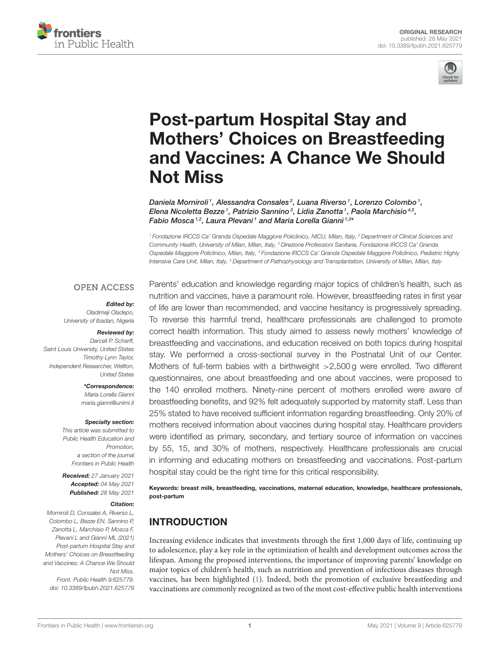



# Post-partum Hospital Stay and Mothers' Choices on Breastfeeding [and Vaccines: A Chance We Should](https://www.frontiersin.org/articles/10.3389/fpubh.2021.625779/full) Not Miss

Daniela Morniroli<sup>1</sup>, Alessandra Consales<sup>2</sup>, Luana Riverso<sup>1</sup>, Lorenzo Colombo<sup>1</sup>, Elena Nicoletta Bezze<sup>1</sup>, Patrizio Sannino<sup>3</sup>, Lidia Zanotta<sup>1</sup>, Paola Marchisio<sup>4,5</sup>, Fabio Mosca<sup>1,2</sup>, Laura Plevani<sup>1</sup> and Maria Lorella Giannì<sup>1,2</sup>\*

<sup>1</sup> Fondazione IRCCS Ca' Granda Ospedale Maggiore Policlinico, NICU, Milan, Italy, <sup>2</sup> Department of Clinical Sciences and Community Health, University of Milan, Milan, Italy, <sup>3</sup> Direzione Professioni Sanitarie, Fondazione IRCCS Ca' Granda Ospedale Maggiore Policlinico, Milan, Italy, <sup>4</sup> Fondazione IRCCS Ca' Granda Ospedale Maggiore Policlinico, Pediatric Highly Intensive Care Unit, Milan, Italy, <sup>5</sup> Department of Pathophysiology and Transplantation, University of Milan, Milan, Italy

### **OPEN ACCESS**

### Edited by:

Oladimeii Oladepo, University of Ibadan, Nigeria

#### Reviewed by:

Darcell P. Scharff, Saint Louis University, United States Timothy Lynn Taylor, Independent Researcher, Wellton, United States

> \*Correspondence: Maria Lorella Giannì [maria.gianni@unimi.it](mailto:maria.gianni@unimi.it)

#### Specialty section:

This article was submitted to Public Health Education and Promotion, a section of the journal Frontiers in Public Health

Received: 27 January 2021 Accepted: 04 May 2021 Published: 28 May 2021

#### Citation:

Morniroli D, Consales A, Riverso L, Colombo L, Bezze EN, Sannino P, Zanotta L, Marchisio P, Mosca F, Plevani L and Giannì ML (2021) Post-partum Hospital Stay and Mothers' Choices on Breastfeeding and Vaccines: A Chance We Should Not Miss. Front. Public Health 9:625779.

doi: [10.3389/fpubh.2021.625779](https://doi.org/10.3389/fpubh.2021.625779)

Parents' education and knowledge regarding major topics of children's health, such as nutrition and vaccines, have a paramount role. However, breastfeeding rates in first year of life are lower than recommended, and vaccine hesitancy is progressively spreading. To reverse this harmful trend, healthcare professionals are challenged to promote correct health information. This study aimed to assess newly mothers' knowledge of breastfeeding and vaccinations, and education received on both topics during hospital stay. We performed a cross-sectional survey in the Postnatal Unit of our Center. Mothers of full-term babies with a birthweight >2,500 g were enrolled. Two different questionnaires, one about breastfeeding and one about vaccines, were proposed to the 140 enrolled mothers. Ninety-nine percent of mothers enrolled were aware of breastfeeding benefits, and 92% felt adequately supported by maternity staff. Less than 25% stated to have received sufficient information regarding breastfeeding. Only 20% of mothers received information about vaccines during hospital stay. Healthcare providers were identified as primary, secondary, and tertiary source of information on vaccines by 55, 15, and 30% of mothers, respectively. Healthcare professionals are crucial in informing and educating mothers on breastfeeding and vaccinations. Post-partum hospital stay could be the right time for this critical responsibility.

Keywords: breast milk, breastfeeding, vaccinations, maternal education, knowledge, healthcare professionals, post-partum

# INTRODUCTION

Increasing evidence indicates that investments through the first 1,000 days of life, continuing up to adolescence, play a key role in the optimization of health and development outcomes across the lifespan. Among the proposed interventions, the importance of improving parents' knowledge on major topics of children's health, such as nutrition and prevention of infectious diseases through vaccines, has been highlighted [\(1\)](#page-5-0). Indeed, both the promotion of exclusive breastfeeding and vaccinations are commonly recognized as two of the most cost-effective public health interventions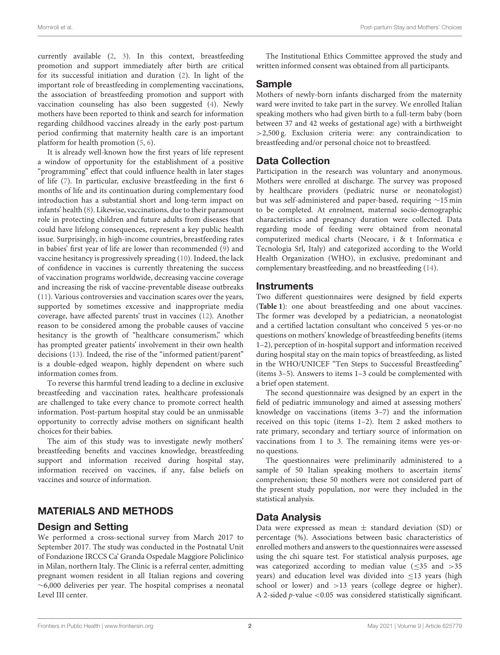currently available [\(2,](#page-5-1) [3\)](#page-5-2). In this context, breastfeeding promotion and support immediately after birth are critical for its successful initiation and duration [\(2\)](#page-5-1). In light of the important role of breastfeeding in complementing vaccinations, the association of breastfeeding promotion and support with vaccination counseling has also been suggested [\(4\)](#page-5-3). Newly mothers have been reported to think and search for information regarding childhood vaccines already in the early post-partum period confirming that maternity health care is an important platform for health promotion [\(5,](#page-5-4) [6\)](#page-5-5).

It is already well-known how the first years of life represent a window of opportunity for the establishment of a positive "programming" effect that could influence health in later stages of life [\(7\)](#page-5-6). In particular, exclusive breastfeeding in the first 6 months of life and its continuation during complementary food introduction has a substantial short and long-term impact on infants' health [\(8\)](#page-5-7). Likewise, vaccinations, due to their paramount role in protecting children and future adults from diseases that could have lifelong consequences, represent a key public health issue. Surprisingly, in high-income countries, breastfeeding rates in babies' first year of life are lower than recommended [\(9\)](#page-5-8) and vaccine hesitancy is progressively spreading [\(10\)](#page-5-9). Indeed, the lack of confidence in vaccines is currently threatening the success of vaccination programs worldwide, decreasing vaccine coverage and increasing the risk of vaccine-preventable disease outbreaks [\(11\)](#page-5-10). Various controversies and vaccination scares over the years, supported by sometimes excessive and inappropriate media coverage, have affected parents' trust in vaccines [\(12\)](#page-5-11). Another reason to be considered among the probable causes of vaccine hesitancy is the growth of "healthcare consumerism," which has prompted greater patients' involvement in their own health decisions [\(13\)](#page-5-12). Indeed, the rise of the "informed patient/parent" is a double-edged weapon, highly dependent on where such information comes from.

To reverse this harmful trend leading to a decline in exclusive breastfeeding and vaccination rates, healthcare professionals are challenged to take every chance to promote correct health information. Post-partum hospital stay could be an unmissable opportunity to correctly advise mothers on significant health choices for their babies.

The aim of this study was to investigate newly mothers' breastfeeding benefits and vaccines knowledge, breastfeeding support and information received during hospital stay, information received on vaccines, if any, false beliefs on vaccines and source of information.

# MATERIALS AND METHODS

# Design and Setting

We performed a cross-sectional survey from March 2017 to September 2017. The study was conducted in the Postnatal Unit of Fondazione IRCCS Ca' Granda Ospedale Maggiore Policlinico in Milan, northern Italy. The Clinic is a referral center, admitting pregnant women resident in all Italian regions and covering ∼6,000 deliveries per year. The hospital comprises a neonatal Level III center.

The Institutional Ethics Committee approved the study and written informed consent was obtained from all participants.

# Sample

Mothers of newly-born infants discharged from the maternity ward were invited to take part in the survey. We enrolled Italian speaking mothers who had given birth to a full-term baby (born between 37 and 42 weeks of gestational age) with a birthweight >2,500 g. Exclusion criteria were: any contraindication to breastfeeding and/or personal choice not to breastfeed.

# Data Collection

Participation in the research was voluntary and anonymous. Mothers were enrolled at discharge. The survey was proposed by healthcare providers (pediatric nurse or neonatologist) but was self-administered and paper-based, requiring ∼15 min to be completed. At enrolment, maternal socio-demographic characteristics and pregnancy duration were collected. Data regarding mode of feeding were obtained from neonatal computerized medical charts (Neocare, i & t Informatica e Tecnologia Srl, Italy) and categorized according to the World Health Organization (WHO), in exclusive, predominant and complementary breastfeeding, and no breastfeeding [\(14\)](#page-5-13).

# **Instruments**

Two different questionnaires were designed by field experts (**[Table 1](#page-2-0)**): one about breastfeeding and one about vaccines. The former was developed by a pediatrician, a neonatologist and a certified lactation consultant who conceived 5 yes-or-no questions on mothers' knowledge of breastfeeding benefits (items 1–2), perception of in-hospital support and information received during hospital stay on the main topics of breastfeeding, as listed in the WHO/UNICEF "Ten Steps to Successful Breastfeeding" (items 3–5). Answers to items 1–3 could be complemented with a brief open statement.

The second questionnaire was designed by an expert in the field of pediatric immunology and aimed at assessing mothers' knowledge on vaccinations (items 3–7) and the information received on this topic (items 1–2). Item 2 asked mothers to rate primary, secondary and tertiary source of information on vaccinations from 1 to 3. The remaining items were yes-orno questions.

The questionnaires were preliminarily administered to a sample of 50 Italian speaking mothers to ascertain items' comprehension; these 50 mothers were not considered part of the present study population, nor were they included in the statistical analysis.

# Data Analysis

Data were expressed as mean  $\pm$  standard deviation (SD) or percentage (%). Associations between basic characteristics of enrolled mothers and answers to the questionnaires were assessed using the chi square test. For statistical analysis purposes, age was categorized according to median value  $(\leq 35$  and  $> 35$ years) and education level was divided into ≤13 years (high school or lower) and >13 years (college degree or higher). A 2-sided p-value <0.05 was considered statistically significant.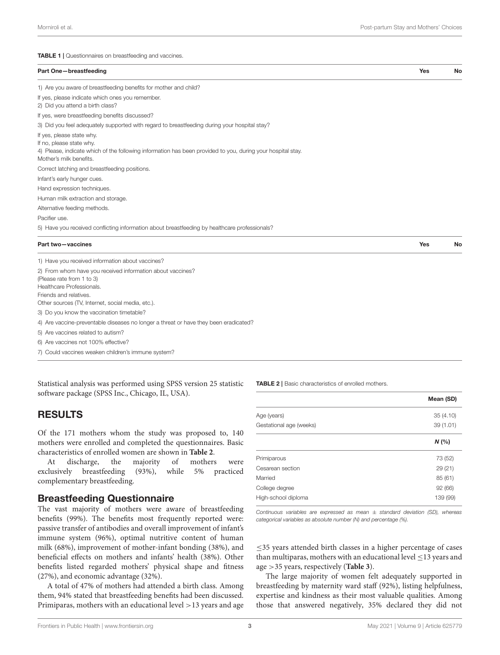<span id="page-2-0"></span>TABLE 1 | Questionnaires on breastfeeding and vaccines.

| Part One-breastfeeding                                                                                                                                                                          | Yes | No |
|-------------------------------------------------------------------------------------------------------------------------------------------------------------------------------------------------|-----|----|
| 1) Are you aware of breastfeeding benefits for mother and child?                                                                                                                                |     |    |
| If yes, please indicate which ones you remember.<br>2) Did you attend a birth class?                                                                                                            |     |    |
| If yes, were breastfeeding benefits discussed?                                                                                                                                                  |     |    |
| 3) Did you feel adequately supported with regard to breastfeeding during your hospital stay?                                                                                                    |     |    |
| If yes, please state why.<br>If no, please state why.<br>4) Please, indicate which of the following information has been provided to you, during your hospital stay.<br>Mother's milk benefits. |     |    |
| Correct latching and breastfeeding positions.                                                                                                                                                   |     |    |
| Infant's early hunger cues.                                                                                                                                                                     |     |    |
| Hand expression techniques.                                                                                                                                                                     |     |    |
| Human milk extraction and storage.                                                                                                                                                              |     |    |
| Alternative feeding methods.                                                                                                                                                                    |     |    |
| Pacifier use.                                                                                                                                                                                   |     |    |

5) Have you received conflicting information about breastfeeding by healthcare professionals?

#### Part two—vaccines No November 2012 12:00 No. 2012 12:00 No. 2012 12:00 No. 2012 12:00 No. 2012 12:00 No. 2013

| 1) Have you received information about vaccines?                                     |
|--------------------------------------------------------------------------------------|
| 2) From whom have you received information about vaccines?                           |
| (Please rate from 1 to 3)                                                            |
| Healthcare Professionals.                                                            |
| Friends and relatives.                                                               |
| Other sources (TV, Internet, social media, etc.).                                    |
| 3) Do you know the vaccination timetable?                                            |
| 4) Are vaccine-preventable diseases no longer a threat or have they been eradicated? |
| 5) Are vaccines related to autism?                                                   |
| 6) Are vaccines not 100% effective?                                                  |
| 7) Could vaccines weaken children's immune system?                                   |

Statistical analysis was performed using SPSS version 25 statistic software package (SPSS Inc., Chicago, IL, USA).

# RESULTS

Of the 171 mothers whom the study was proposed to, 140 mothers were enrolled and completed the questionnaires. Basic characteristics of enrolled women are shown in **[Table 2](#page-2-1)**.

At discharge, the majority of mothers were exclusively breastfeeding (93%), while 5% practiced complementary breastfeeding.

### Breastfeeding Questionnaire

The vast majority of mothers were aware of breastfeeding benefits (99%). The benefits most frequently reported were: passive transfer of antibodies and overall improvement of infant's immune system (96%), optimal nutritive content of human milk (68%), improvement of mother-infant bonding (38%), and beneficial effects on mothers and infants' health (38%). Other benefits listed regarded mothers' physical shape and fitness (27%), and economic advantage (32%).

A total of 47% of mothers had attended a birth class. Among them, 94% stated that breastfeeding benefits had been discussed. Primiparas, mothers with an educational level >13 years and age <span id="page-2-1"></span>TABLE 2 | Basic characteristics of enrolled mothers.

|                         | Mean (SD) |
|-------------------------|-----------|
| Age (years)             | 35(4.10)  |
| Gestational age (weeks) | 39 (1.01) |
|                         | N(%       |
| Primiparous             | 73 (52)   |
| Cesarean section        | 29(21)    |
| Married                 | 85(61)    |
| College degree          | 92 (66)   |
| High-school diploma     | 139 (99)  |

Continuous variables are expressed as mean  $\pm$  standard deviation (SD), whereas categorical variables as absolute number (N) and percentage (%).

≤35 years attended birth classes in a higher percentage of cases than multiparas, mothers with an educational level  $\leq$  13 years and age >35 years, respectively (**[Table 3](#page-3-0)**).

The large majority of women felt adequately supported in breastfeeding by maternity ward staff (92%), listing helpfulness, expertise and kindness as their most valuable qualities. Among those that answered negatively, 35% declared they did not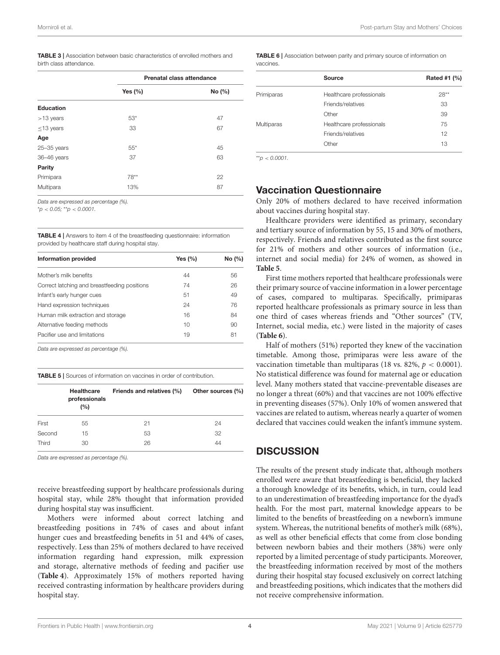<span id="page-3-0"></span>

|                         |  | <b>TABLE 3</b>   Association between basic characteristics of enrolled mothers and |  |  |
|-------------------------|--|------------------------------------------------------------------------------------|--|--|
| birth class attendance. |  |                                                                                    |  |  |

|                  | Prenatal class attendance |        |  |
|------------------|---------------------------|--------|--|
|                  | Yes $(\% )$               | No (%) |  |
| <b>Education</b> |                           |        |  |
| $>13$ years      | $53*$                     | 47     |  |
| $\leq$ 13 years  | 33                        | 67     |  |
| Age              |                           |        |  |
| $25 - 35$ years  | $55*$                     | 45     |  |
| 36-46 years      | 37                        | 63     |  |
| Parity           |                           |        |  |
| Primipara        | $78**$                    | 22     |  |
| Multipara        | 13%                       | 87     |  |
|                  |                           |        |  |

Data are expressed as percentage (%).

 $*p < 0.05; **p < 0.0001$ .

<span id="page-3-1"></span>TABLE 4 | Answers to item 4 of the breastfeeding questionnaire: information provided by healthcare staff during hospital stay.

| Yes $(\% )$ | No (%) |  |
|-------------|--------|--|
| 44          | 56     |  |
| 74          | 26     |  |
| 51          | 49     |  |
| 24          | 76     |  |
| 16          | 84     |  |
| 10          | 90     |  |
| 19          | 81     |  |
|             |        |  |

Data are expressed as percentage (%).

<span id="page-3-2"></span>TABLE 5 | Sources of information on vaccines in order of contribution.

|        | <b>Healthcare</b><br>professionals<br>(%) | Friends and relatives (%) | Other sources (%) |
|--------|-------------------------------------------|---------------------------|-------------------|
| First  | 55                                        | 21                        | 24                |
| Second | 15                                        | 53                        | 32                |
| Third  | 30                                        | 26                        | 44                |

Data are expressed as percentage (%).

receive breastfeeding support by healthcare professionals during hospital stay, while 28% thought that information provided during hospital stay was insufficient.

Mothers were informed about correct latching and breastfeeding positions in 74% of cases and about infant hunger cues and breastfeeding benefits in 51 and 44% of cases, respectively. Less than 25% of mothers declared to have received information regarding hand expression, milk expression and storage, alternative methods of feeding and pacifier use (**[Table 4](#page-3-1)**). Approximately 15% of mothers reported having received contrasting information by healthcare providers during hospital stay.

<span id="page-3-3"></span>

|           | TABLE 6   Association between parity and primary source of information on |  |  |  |  |
|-----------|---------------------------------------------------------------------------|--|--|--|--|
| vaccines. |                                                                           |  |  |  |  |

|                   | Source                   | Rated #1 (%) |
|-------------------|--------------------------|--------------|
| Primiparas        | Healthcare professionals | $28**$       |
|                   | Friends/relatives        | 33           |
|                   | Other                    | 39           |
| <b>Multiparas</b> | Healthcare professionals | 75           |
|                   | Friends/relatives        | 12           |
|                   | Other                    | 13           |

 $*_{n}$  < 0.0001

# Vaccination Questionnaire

Only 20% of mothers declared to have received information about vaccines during hospital stay.

Healthcare providers were identified as primary, secondary and tertiary source of information by 55, 15 and 30% of mothers, respectively. Friends and relatives contributed as the first source for 21% of mothers and other sources of information (i.e., internet and social media) for 24% of women, as showed in **[Table 5](#page-3-2)**.

First time mothers reported that healthcare professionals were their primary source of vaccine information in a lower percentage of cases, compared to multiparas. Specifically, primiparas reported healthcare professionals as primary source in less than one third of cases whereas friends and "Other sources" (TV, Internet, social media, etc.) were listed in the majority of cases (**[Table 6](#page-3-3)**).

Half of mothers (51%) reported they knew of the vaccination timetable. Among those, primiparas were less aware of the vaccination timetable than multiparas (18 vs. 82%,  $p < 0.0001$ ). No statistical difference was found for maternal age or education level. Many mothers stated that vaccine-preventable diseases are no longer a threat (60%) and that vaccines are not 100% effective in preventing diseases (57%). Only 10% of women answered that vaccines are related to autism, whereas nearly a quarter of women declared that vaccines could weaken the infant's immune system.

# **DISCUSSION**

The results of the present study indicate that, although mothers enrolled were aware that breastfeeding is beneficial, they lacked a thorough knowledge of its benefits, which, in turn, could lead to an underestimation of breastfeeding importance for the dyad's health. For the most part, maternal knowledge appears to be limited to the benefits of breastfeeding on a newborn's immune system. Whereas, the nutritional benefits of mother's milk (68%), as well as other beneficial effects that come from close bonding between newborn babies and their mothers (38%) were only reported by a limited percentage of study participants. Moreover, the breastfeeding information received by most of the mothers during their hospital stay focused exclusively on correct latching and breastfeeding positions, which indicates that the mothers did not receive comprehensive information.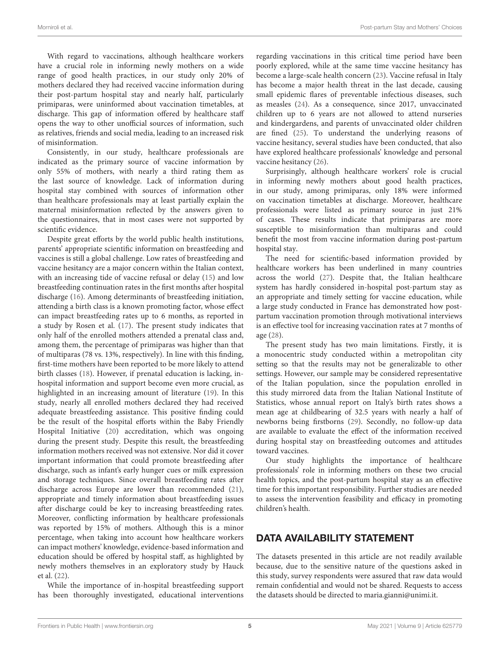With regard to vaccinations, although healthcare workers have a crucial role in informing newly mothers on a wide range of good health practices, in our study only 20% of mothers declared they had received vaccine information during their post-partum hospital stay and nearly half, particularly primiparas, were uninformed about vaccination timetables, at discharge. This gap of information offered by healthcare staff opens the way to other unofficial sources of information, such as relatives, friends and social media, leading to an increased risk of misinformation.

Consistently, in our study, healthcare professionals are indicated as the primary source of vaccine information by only 55% of mothers, with nearly a third rating them as the last source of knowledge. Lack of information during hospital stay combined with sources of information other than healthcare professionals may at least partially explain the maternal misinformation reflected by the answers given to the questionnaires, that in most cases were not supported by scientific evidence.

Despite great efforts by the world public health institutions, parents' appropriate scientific information on breastfeeding and vaccines is still a global challenge. Low rates of breastfeeding and vaccine hesitancy are a major concern within the Italian context, with an increasing tide of vaccine refusal or delay [\(15\)](#page-5-14) and low breastfeeding continuation rates in the first months after hospital discharge [\(16\)](#page-5-15). Among determinants of breastfeeding initiation, attending a birth class is a known promoting factor, whose effect can impact breastfeeding rates up to 6 months, as reported in a study by Rosen et al. [\(17\)](#page-5-16). The present study indicates that only half of the enrolled mothers attended a prenatal class and, among them, the percentage of primiparas was higher than that of multiparas (78 vs. 13%, respectively). In line with this finding, first-time mothers have been reported to be more likely to attend birth classes [\(18\)](#page-5-17). However, if prenatal education is lacking, inhospital information and support become even more crucial, as highlighted in an increasing amount of literature [\(19\)](#page-5-18). In this study, nearly all enrolled mothers declared they had received adequate breastfeeding assistance. This positive finding could be the result of the hospital efforts within the Baby Friendly Hospital Initiative [\(20\)](#page-5-19) accreditation, which was ongoing during the present study. Despite this result, the breastfeeding information mothers received was not extensive. Nor did it cover important information that could promote breastfeeding after discharge, such as infant's early hunger cues or milk expression and storage techniques. Since overall breastfeeding rates after discharge across Europe are lower than recommended [\(21\)](#page-5-20), appropriate and timely information about breastfeeding issues after discharge could be key to increasing breastfeeding rates. Moreover, conflicting information by healthcare professionals was reported by 15% of mothers. Although this is a minor percentage, when taking into account how healthcare workers can impact mothers' knowledge, evidence-based information and education should be offered by hospital staff, as highlighted by newly mothers themselves in an exploratory study by Hauck et al. [\(22\)](#page-5-21).

While the importance of in-hospital breastfeeding support has been thoroughly investigated, educational interventions regarding vaccinations in this critical time period have been poorly explored, while at the same time vaccine hesitancy has become a large-scale health concern [\(23\)](#page-5-22). Vaccine refusal in Italy has become a major health threat in the last decade, causing small epidemic flares of preventable infectious diseases, such as measles [\(24\)](#page-5-23). As a consequence, since 2017, unvaccinated children up to 6 years are not allowed to attend nurseries and kindergardens, and parents of unvaccinated older children are fined [\(25\)](#page-5-24). To understand the underlying reasons of vaccine hesitancy, several studies have been conducted, that also have explored healthcare professionals' knowledge and personal vaccine hesitancy [\(26\)](#page-5-25).

Surprisingly, although healthcare workers' role is crucial in informing newly mothers about good health practices, in our study, among primiparas, only 18% were informed on vaccination timetables at discharge. Moreover, healthcare professionals were listed as primary source in just 21% of cases. These results indicate that primiparas are more susceptible to misinformation than multiparas and could benefit the most from vaccine information during post-partum hospital stay.

The need for scientific-based information provided by healthcare workers has been underlined in many countries across the world [\(27\)](#page-5-26). Despite that, the Italian healthcare system has hardly considered in-hospital post-partum stay as an appropriate and timely setting for vaccine education, while a large study conducted in France has demonstrated how postpartum vaccination promotion through motivational interviews is an effective tool for increasing vaccination rates at 7 months of age [\(28\)](#page-5-27).

The present study has two main limitations. Firstly, it is a monocentric study conducted within a metropolitan city setting so that the results may not be generalizable to other settings. However, our sample may be considered representative of the Italian population, since the population enrolled in this study mirrored data from the Italian National Institute of Statistics, whose annual report on Italy's birth rates shows a mean age at childbearing of 32.5 years with nearly a half of newborns being firstborns [\(29\)](#page-5-28). Secondly, no follow-up data are available to evaluate the effect of the information received during hospital stay on breastfeeding outcomes and attitudes toward vaccines.

Our study highlights the importance of healthcare professionals' role in informing mothers on these two crucial health topics, and the post-partum hospital stay as an effective time for this important responsibility. Further studies are needed to assess the intervention feasibility and efficacy in promoting children's health.

# DATA AVAILABILITY STATEMENT

The datasets presented in this article are not readily available because, due to the sensitive nature of the questions asked in this study, survey respondents were assured that raw data would remain confidential and would not be shared. Requests to access the datasets should be directed to [maria.gianni@unimi.it.](mailto:maria.gianni@unimi.it)